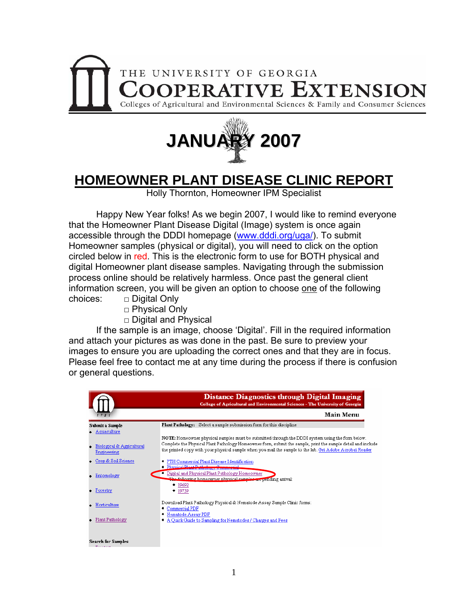



## **HOMEOWNER PLANT DISEASE CLINIC REPORT**

Holly Thornton, Homeowner IPM Specialist

 Happy New Year folks! As we begin 2007, I would like to remind everyone that the Homeowner Plant Disease Digital (Image) system is once again accessible through the DDDI homepage [\(www.dddi.org/uga/](http://www.dddi.org/uga/)). To submit Homeowner samples (physical or digital), you will need to click on the option circled below in red. This is the electronic form to use for BOTH physical and digital Homeowner plant disease samples. Navigating through the submission process online should be relatively harmless. Once past the general client information screen, you will be given an option to choose one of the following choices: □ Digital Only

- □ Physical Only
- □ Digital and Physical

 If the sample is an image, choose 'Digital'. Fill in the required information and attach your pictures as was done in the past. Be sure to preview your images to ensure you are uploading the correct ones and that they are in focus. Please feel free to contact me at any time during the process if there is confusion or general questions.

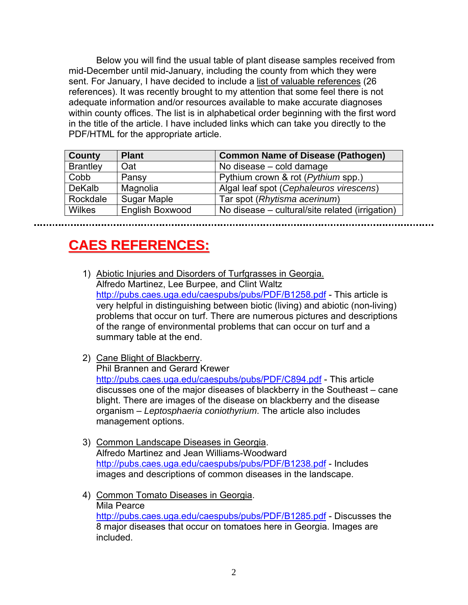Below you will find the usual table of plant disease samples received from mid-December until mid-January, including the county from which they were sent. For January, I have decided to include a list of valuable references (26 references). It was recently brought to my attention that some feel there is not adequate information and/or resources available to make accurate diagnoses within county offices. The list is in alphabetical order beginning with the first word in the title of the article. I have included links which can take you directly to the PDF/HTML for the appropriate article.

| <b>County</b>   | <b>Plant</b>           | <b>Common Name of Disease (Pathogen)</b>        |
|-----------------|------------------------|-------------------------------------------------|
| <b>Brantley</b> | Oat                    | No disease - cold damage                        |
| Cobb            | Pansy                  | Pythium crown & rot ( <i>Pythium</i> spp.)      |
| <b>DeKalb</b>   | Magnolia               | Algal leaf spot (Cephaleuros virescens)         |
| Rockdale        | Sugar Maple            | Tar spot (Rhytisma acerinum)                    |
| <b>Wilkes</b>   | <b>English Boxwood</b> | No disease – cultural/site related (irrigation) |

## **CAESREFERENCES: EFERENCES:**

- 1) Abiotic Injuries and Disorders of Turfgrasses in Georgia. Alfredo Martinez, Lee Burpee, and Clint Waltz <http://pubs.caes.uga.edu/caespubs/pubs/PDF/B1258.pdf>- This article is very helpful in distinguishing between biotic (living) and abiotic (non-living) problems that occur on turf. There are numerous pictures and descriptions of the range of environmental problems that can occur on turf and a summary table at the end.
- 2) Cane Blight of Blackberry.

Phil Brannen and Gerard Krewer <http://pubs.caes.uga.edu/caespubs/pubs/PDF/C894.pdf>- This article discusses one of the major diseases of blackberry in the Southeast – cane blight. There are images of the disease on blackberry and the disease organism – *Leptosphaeria coniothyrium*. The article also includes management options.

- 3) Common Landscape Diseases in Georgia. Alfredo Martinez and Jean Williams-Woodward <http://pubs.caes.uga.edu/caespubs/pubs/PDF/B1238.pdf>- Includes images and descriptions of common diseases in the landscape.
- 4) Common Tomato Diseases in Georgia. Mila Pearce <http://pubs.caes.uga.edu/caespubs/pubs/PDF/B1285.pdf>- Discusses the 8 major diseases that occur on tomatoes here in Georgia. Images are included.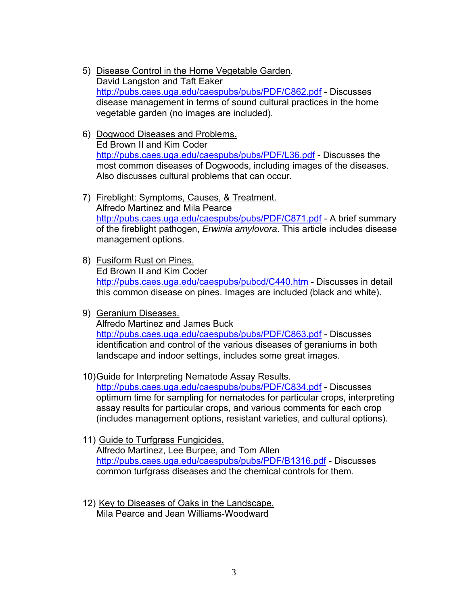- 5) Disease Control in the Home Vegetable Garden. David Langston and Taft Eaker <http://pubs.caes.uga.edu/caespubs/pubs/PDF/C862.pdf>- Discusses disease management in terms of sound cultural practices in the home vegetable garden (no images are included).
- 6) Dogwood Diseases and Problems. Ed Brown II and Kim Coder <http://pubs.caes.uga.edu/caespubs/pubs/PDF/L36.pdf> - Discusses the most common diseases of Dogwoods, including images of the diseases. Also discusses cultural problems that can occur.
- 7) Fireblight: Symptoms, Causes, & Treatment. Alfredo Martinez and Mila Pearce <http://pubs.caes.uga.edu/caespubs/pubs/PDF/C871.pdf>- A brief summary of the fireblight pathogen, *Erwinia amylovora*. This article includes disease management options.
- 8) Fusiform Rust on Pines. Ed Brown II and Kim Coder <http://pubs.caes.uga.edu/caespubs/pubcd/C440.htm>- Discusses in detail this common disease on pines. Images are included (black and white).
- 9) Geranium Diseases. Alfredo Martinez and James Buck <http://pubs.caes.uga.edu/caespubs/pubs/PDF/C863.pdf>- Discusses identification and control of the various diseases of geraniums in both landscape and indoor settings, includes some great images.
- 10) Guide for Interpreting Nematode Assay Results. <http://pubs.caes.uga.edu/caespubs/pubs/PDF/C834.pdf>- Discusses optimum time for sampling for nematodes for particular crops, interpreting assay results for particular crops, and various comments for each crop (includes management options, resistant varieties, and cultural options).
- 11) Guide to Turfgrass Fungicides. Alfredo Martinez, Lee Burpee, and Tom Allen <http://pubs.caes.uga.edu/caespubs/pubs/PDF/B1316.pdf>- Discusses common turfgrass diseases and the chemical controls for them.
- 12) Key to Diseases of Oaks in the Landscape. Mila Pearce and Jean Williams-Woodward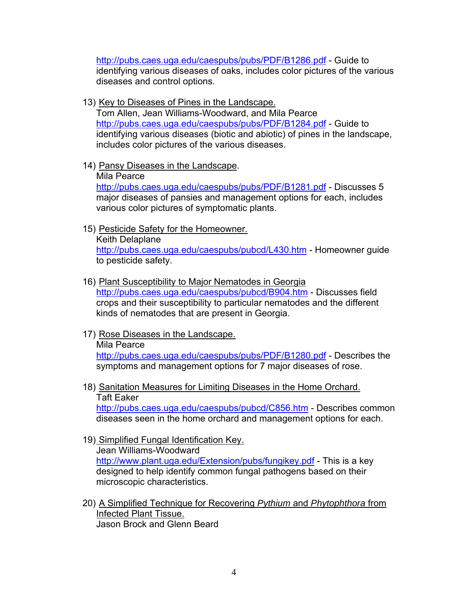<http://pubs.caes.uga.edu/caespubs/pubs/PDF/B1286.pdf>- Guide to identifying various diseases of oaks, includes color pictures of the various diseases and control options.

13) Key to Diseases of Pines in the Landscape.

Tom Allen, Jean Williams-Woodward, and Mila Pearce <http://pubs.caes.uga.edu/caespubs/pubs/PDF/B1284.pdf>- Guide to identifying various diseases (biotic and abiotic) of pines in the landscape, includes color pictures of the various diseases.

14) Pansy Diseases in the Landscape.

Mila Pearce

<http://pubs.caes.uga.edu/caespubs/pubs/PDF/B1281.pdf>- Discusses 5 major diseases of pansies and management options for each, includes various color pictures of symptomatic plants.

15) Pesticide Safety for the Homeowner.

Keith Delaplane <http://pubs.caes.uga.edu/caespubs/pubcd/L430.htm> - Homeowner guide to pesticide safety.

- 16) Plant Susceptibility to Major Nematodes in Georgia <http://pubs.caes.uga.edu/caespubs/pubcd/B904.htm>- Discusses field crops and their susceptibility to particular nematodes and the different kinds of nematodes that are present in Georgia.
- 17) Rose Diseases in the Landscape.

Mila Pearce <http://pubs.caes.uga.edu/caespubs/pubs/PDF/B1280.pdf>- Describes the symptoms and management options for 7 major diseases of rose.

- 18) Sanitation Measures for Limiting Diseases in the Home Orchard. Taft Eaker <http://pubs.caes.uga.edu/caespubs/pubcd/C856.htm>- Describes common diseases seen in the home orchard and management options for each.
- 19) Simplified Fungal Identification Key. Jean Williams-Woodward <http://www.plant.uga.edu/Extension/pubs/fungikey.pdf> - This is a key designed to help identify common fungal pathogens based on their microscopic characteristics.
- 20) A Simplified Technique for Recovering *Pythium* and *Phytophthora* from Infected Plant Tissue. Jason Brock and Glenn Beard